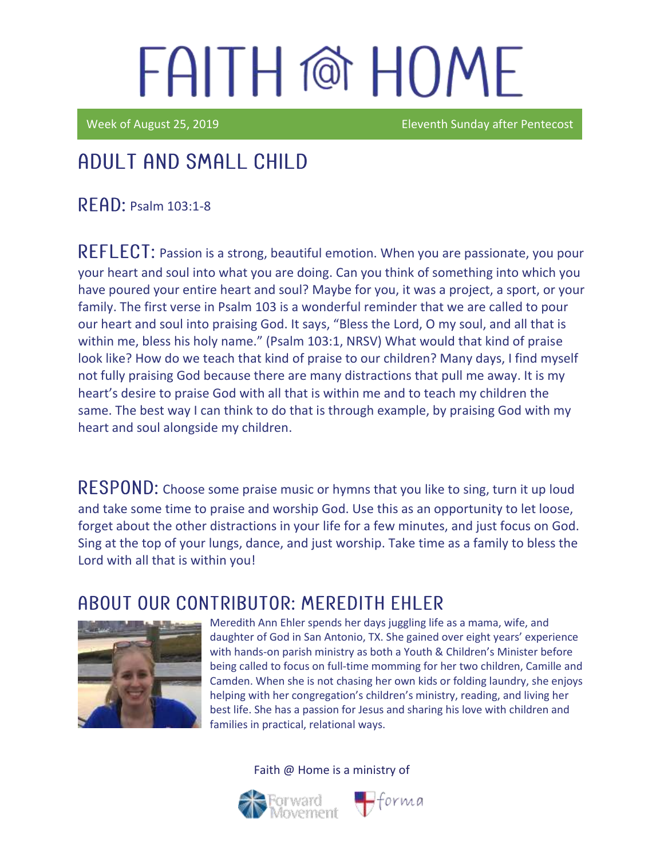Week of August 25, 2019 **Eleventh Sunday after Pentecost** 

## Adult and Small Child

 $R$  $F$  $R$  $D$ : Psalm 103:1-8

REFLECT: Passion is a strong, beautiful emotion. When you are passionate, you pour your heart and soul into what you are doing. Can you think of something into which you have poured your entire heart and soul? Maybe for you, it was a project, a sport, or your family. The first verse in Psalm 103 is a wonderful reminder that we are called to pour our heart and soul into praising God. It says, "Bless the Lord, O my soul, and all that is within me, bless his holy name." (Psalm 103:1, NRSV) What would that kind of praise look like? How do we teach that kind of praise to our children? Many days, I find myself not fully praising God because there are many distractions that pull me away. It is my heart's desire to praise God with all that is within me and to teach my children the same. The best way I can think to do that is through example, by praising God with my heart and soul alongside my children.

RESPOND: Choose some praise music or hymns that you like to sing, turn it up loud and take some time to praise and worship God. Use this as an opportunity to let loose, forget about the other distractions in your life for a few minutes, and just focus on God. Sing at the top of your lungs, dance, and just worship. Take time as a family to bless the Lord with all that is within you!

### ABOUT OUR CONTRIBUTOR: MEREDITH EHLER



Meredith Ann Ehler spends her days juggling life as a mama, wife, and daughter of God in San Antonio, TX. She gained over eight years' experience with hands-on parish ministry as both a Youth & Children's Minister before being called to focus on full-time momming for her two children, Camille and Camden. When she is not chasing her own kids or folding laundry, she enjoys helping with her congregation's children's ministry, reading, and living her best life. She has a passion for Jesus and sharing his love with children and families in practical, relational ways.

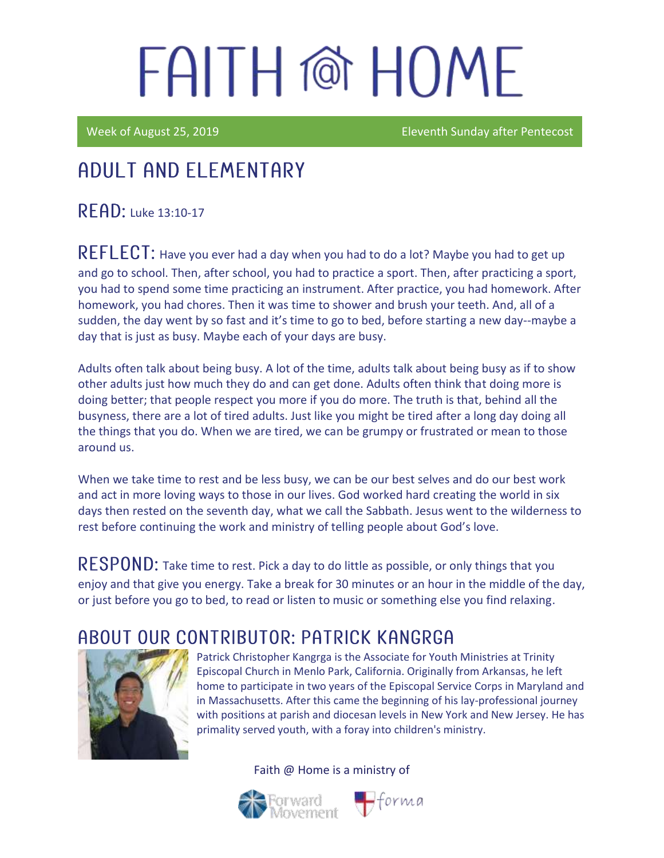Week of August 25, 2019 **Eleventh Sunday after Pentecost** 

## Adult and elementary

 $R$  $F$  $A$  $D$ : Luke 13:10-17

REFLECT: Have you ever had a day when you had to do a lot? Maybe you had to get up and go to school. Then, after school, you had to practice a sport. Then, after practicing a sport, you had to spend some time practicing an instrument. After practice, you had homework. After homework, you had chores. Then it was time to shower and brush your teeth. And, all of a sudden, the day went by so fast and it's time to go to bed, before starting a new day--maybe a day that is just as busy. Maybe each of your days are busy.

Adults often talk about being busy. A lot of the time, adults talk about being busy as if to show other adults just how much they do and can get done. Adults often think that doing more is doing better; that people respect you more if you do more. The truth is that, behind all the busyness, there are a lot of tired adults. Just like you might be tired after a long day doing all the things that you do. When we are tired, we can be grumpy or frustrated or mean to those around us.

When we take time to rest and be less busy, we can be our best selves and do our best work and act in more loving ways to those in our lives. God worked hard creating the world in six days then rested on the seventh day, what we call the Sabbath. Jesus went to the wilderness to rest before continuing the work and ministry of telling people about God's love.

RESPOND: Take time to rest. Pick a day to do little as possible, or only things that you enjoy and that give you energy. Take a break for 30 minutes or an hour in the middle of the day, or just before you go to bed, to read or listen to music or something else you find relaxing.

### ABOUT OUR CONTRIBUTOR: PATRICK KANGRGA



Patrick Christopher Kangrga is the Associate for Youth Ministries at Trinity Episcopal Church in Menlo Park, California. Originally from Arkansas, he left home to participate in two years of the Episcopal Service Corps in Maryland and in Massachusetts. After this came the beginning of his lay-professional journey with positions at parish and diocesan levels in New York and New Jersey. He has primality served youth, with a foray into children's ministry.



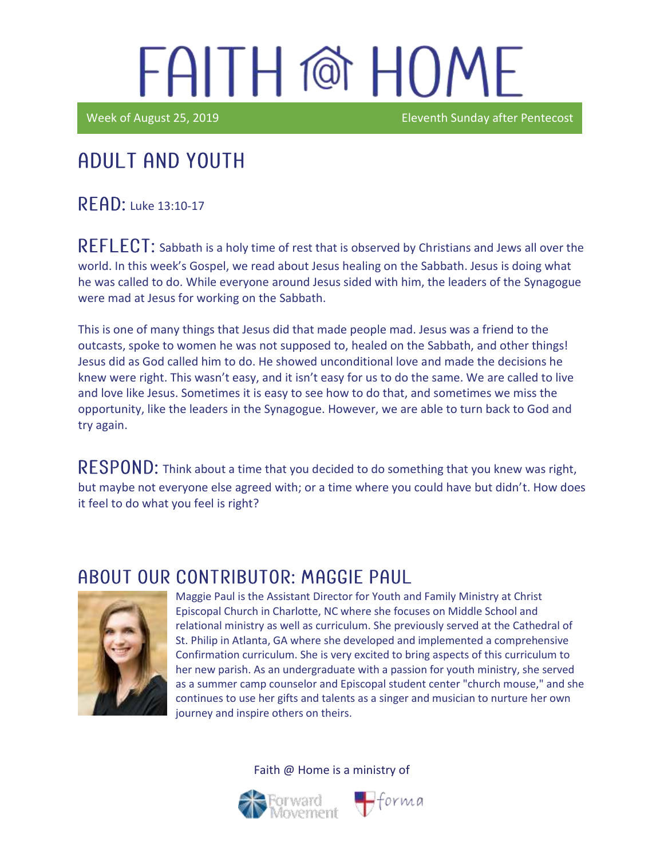Week of August 25, 2019 **Eleventh Sunday after Pentecost** 

### Adult and youth

RFAD: Luke 13:10-17

REFLECT: Sabbath is a holy time of rest that is observed by Christians and Jews all over the world. In this week's Gospel, we read about Jesus healing on the Sabbath. Jesus is doing what he was called to do. While everyone around Jesus sided with him, the leaders of the Synagogue were mad at Jesus for working on the Sabbath.

This is one of many things that Jesus did that made people mad. Jesus was a friend to the outcasts, spoke to women he was not supposed to, healed on the Sabbath, and other things! Jesus did as God called him to do. He showed unconditional love and made the decisions he knew were right. This wasn't easy, and it isn't easy for us to do the same. We are called to live and love like Jesus. Sometimes it is easy to see how to do that, and sometimes we miss the opportunity, like the leaders in the Synagogue. However, we are able to turn back to God and try again.

 $\mathsf{RESPOND}\text{:}$  Think about a time that you decided to do something that you knew was right, but maybe not everyone else agreed with; or a time where you could have but didn't. How does it feel to do what you feel is right?

### ABOUT OUR CONTRIBUTOR: MAGGIE PAUL



Maggie Paul is the Assistant Director for Youth and Family Ministry at Christ Episcopal Church in Charlotte, NC where she focuses on Middle School and relational ministry as well as curriculum. She previously served at the Cathedral of St. Philip in Atlanta, GA where she developed and implemented a comprehensive Confirmation curriculum. She is very excited to bring aspects of this curriculum to her new parish. As an undergraduate with a passion for youth ministry, she served as a summer camp counselor and Episcopal student center "church mouse," and she continues to use her gifts and talents as a singer and musician to nurture her own journey and inspire others on theirs.